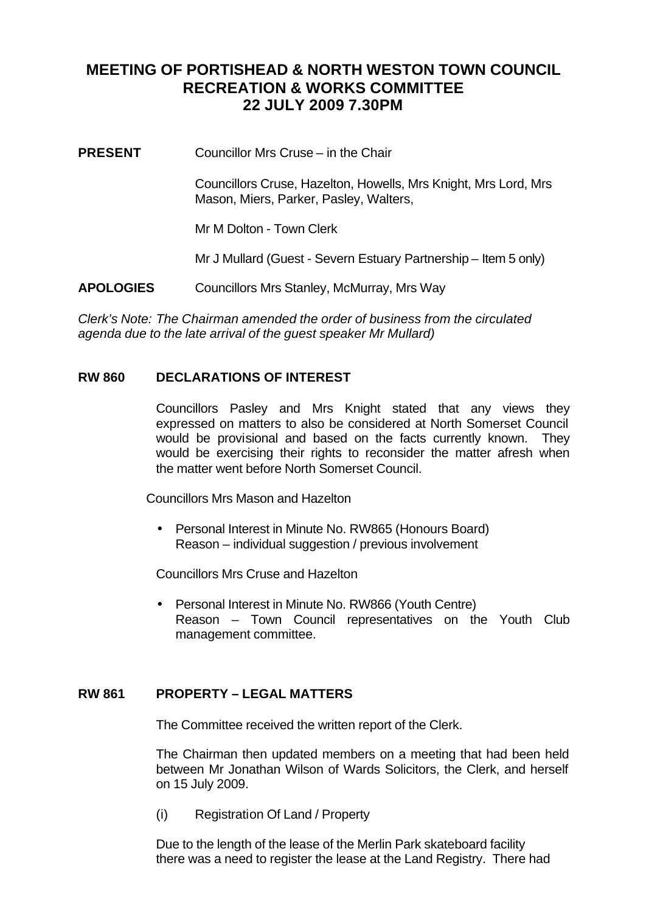# **MEETING OF PORTISHEAD & NORTH WESTON TOWN COUNCIL RECREATION & WORKS COMMITTEE 22 JULY 2009 7.30PM**

**PRESENT** Councillor Mrs Cruse – in the Chair

Councillors Cruse, Hazelton, Howells, Mrs Knight, Mrs Lord, Mrs Mason, Miers, Parker, Pasley, Walters,

Mr M Dolton - Town Clerk

Mr J Mullard (Guest - Severn Estuary Partnership – Item 5 only)

**APOLOGIES** Councillors Mrs Stanley, McMurray, Mrs Way

*Clerk's Note: The Chairman amended the order of business from the circulated agenda due to the late arrival of the guest speaker Mr Mullard)*

# **RW 860 DECLARATIONS OF INTEREST**

Councillors Pasley and Mrs Knight stated that any views they expressed on matters to also be considered at North Somerset Council would be provisional and based on the facts currently known. They would be exercising their rights to reconsider the matter afresh when the matter went before North Somerset Council.

Councillors Mrs Mason and Hazelton

• Personal Interest in Minute No. RW865 (Honours Board) Reason – individual suggestion / previous involvement

Councillors Mrs Cruse and Hazelton

• Personal Interest in Minute No. RW866 (Youth Centre) Reason – Town Council representatives on the Youth Club management committee.

# **RW 861 PROPERTY – LEGAL MATTERS**

The Committee received the written report of the Clerk.

The Chairman then updated members on a meeting that had been held between Mr Jonathan Wilson of Wards Solicitors, the Clerk, and herself on 15 July 2009.

(i) Registration Of Land / Property

Due to the length of the lease of the Merlin Park skateboard facility there was a need to register the lease at the Land Registry. There had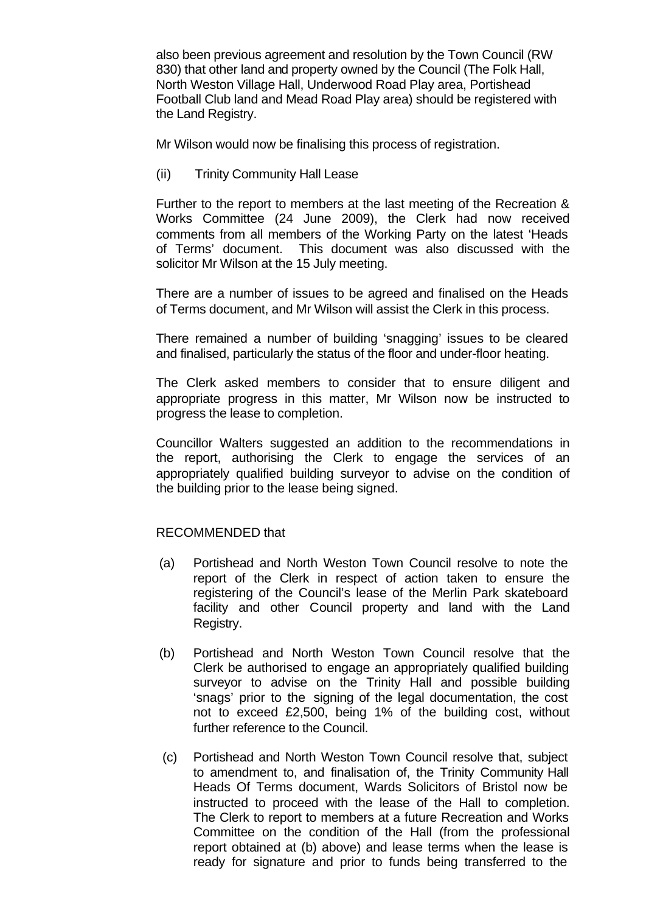also been previous agreement and resolution by the Town Council (RW 830) that other land and property owned by the Council (The Folk Hall, North Weston Village Hall, Underwood Road Play area, Portishead Football Club land and Mead Road Play area) should be registered with the Land Registry.

Mr Wilson would now be finalising this process of registration.

(ii) Trinity Community Hall Lease

Further to the report to members at the last meeting of the Recreation & Works Committee (24 June 2009), the Clerk had now received comments from all members of the Working Party on the latest 'Heads of Terms' document. This document was also discussed with the solicitor Mr Wilson at the 15 July meeting.

There are a number of issues to be agreed and finalised on the Heads of Terms document, and Mr Wilson will assist the Clerk in this process.

There remained a number of building 'snagging' issues to be cleared and finalised, particularly the status of the floor and under-floor heating.

The Clerk asked members to consider that to ensure diligent and appropriate progress in this matter, Mr Wilson now be instructed to progress the lease to completion.

Councillor Walters suggested an addition to the recommendations in the report, authorising the Clerk to engage the services of an appropriately qualified building surveyor to advise on the condition of the building prior to the lease being signed.

# RECOMMENDED that

- (a) Portishead and North Weston Town Council resolve to note the report of the Clerk in respect of action taken to ensure the registering of the Council's lease of the Merlin Park skateboard facility and other Council property and land with the Land Registry.
- (b) Portishead and North Weston Town Council resolve that the Clerk be authorised to engage an appropriately qualified building surveyor to advise on the Trinity Hall and possible building 'snags' prior to the signing of the legal documentation, the cost not to exceed £2,500, being 1% of the building cost, without further reference to the Council.
- (c) Portishead and North Weston Town Council resolve that, subject to amendment to, and finalisation of, the Trinity Community Hall Heads Of Terms document, Wards Solicitors of Bristol now be instructed to proceed with the lease of the Hall to completion. The Clerk to report to members at a future Recreation and Works Committee on the condition of the Hall (from the professional report obtained at (b) above) and lease terms when the lease is ready for signature and prior to funds being transferred to the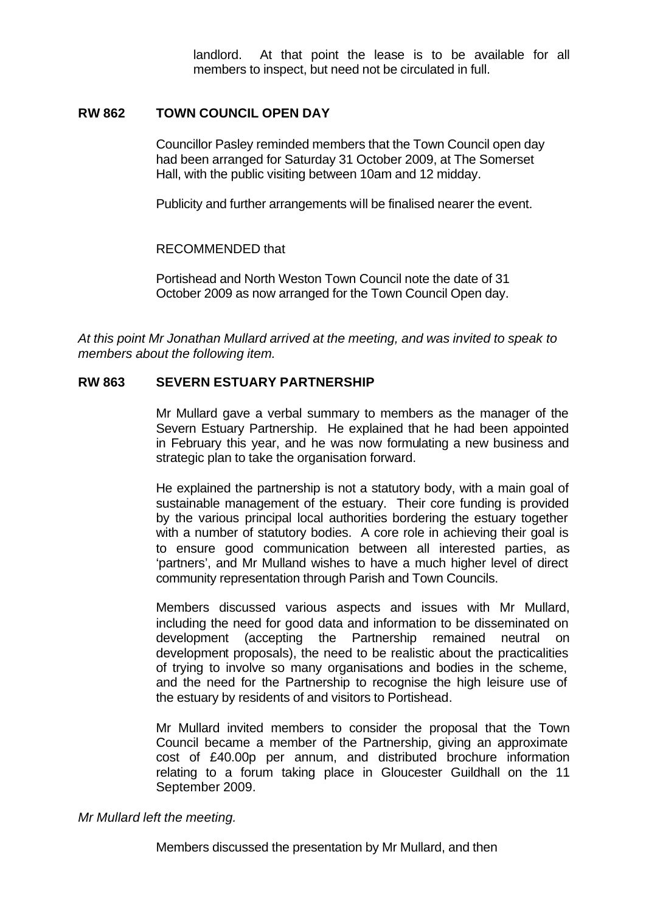landlord. At that point the lease is to be available for all members to inspect, but need not be circulated in full.

# **RW 862 TOWN COUNCIL OPEN DAY**

Councillor Pasley reminded members that the Town Council open day had been arranged for Saturday 31 October 2009, at The Somerset Hall, with the public visiting between 10am and 12 midday.

Publicity and further arrangements will be finalised nearer the event.

# RECOMMENDED that

Portishead and North Weston Town Council note the date of 31 October 2009 as now arranged for the Town Council Open day.

*At this point Mr Jonathan Mullard arrived at the meeting, and was invited to speak to members about the following item.*

# **RW 863 SEVERN ESTUARY PARTNERSHIP**

Mr Mullard gave a verbal summary to members as the manager of the Severn Estuary Partnership. He explained that he had been appointed in February this year, and he was now formulating a new business and strategic plan to take the organisation forward.

He explained the partnership is not a statutory body, with a main goal of sustainable management of the estuary. Their core funding is provided by the various principal local authorities bordering the estuary together with a number of statutory bodies. A core role in achieving their goal is to ensure good communication between all interested parties, as 'partners', and Mr Mulland wishes to have a much higher level of direct community representation through Parish and Town Councils.

Members discussed various aspects and issues with Mr Mullard, including the need for good data and information to be disseminated on development (accepting the Partnership remained neutral on development proposals), the need to be realistic about the practicalities of trying to involve so many organisations and bodies in the scheme, and the need for the Partnership to recognise the high leisure use of the estuary by residents of and visitors to Portishead.

Mr Mullard invited members to consider the proposal that the Town Council became a member of the Partnership, giving an approximate cost of £40.00p per annum, and distributed brochure information relating to a forum taking place in Gloucester Guildhall on the 11 September 2009.

*Mr Mullard left the meeting.*

Members discussed the presentation by Mr Mullard, and then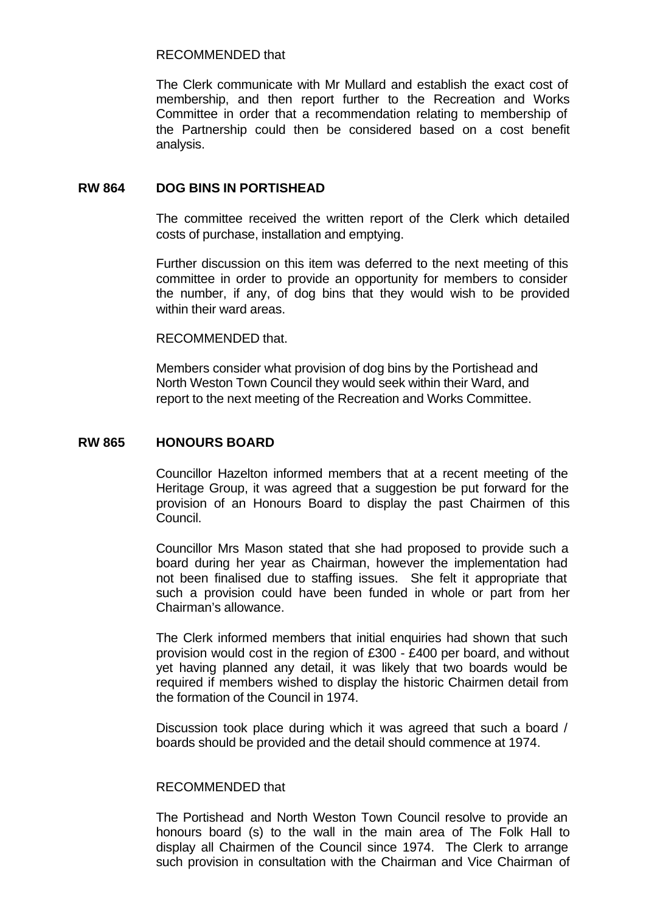# RECOMMENDED that

The Clerk communicate with Mr Mullard and establish the exact cost of membership, and then report further to the Recreation and Works Committee in order that a recommendation relating to membership of the Partnership could then be considered based on a cost benefit analysis.

# **RW 864 DOG BINS IN PORTISHEAD**

The committee received the written report of the Clerk which detailed costs of purchase, installation and emptying.

Further discussion on this item was deferred to the next meeting of this committee in order to provide an opportunity for members to consider the number, if any, of dog bins that they would wish to be provided within their ward areas.

RECOMMENDED that.

Members consider what provision of dog bins by the Portishead and North Weston Town Council they would seek within their Ward, and report to the next meeting of the Recreation and Works Committee.

# **RW 865 HONOURS BOARD**

Councillor Hazelton informed members that at a recent meeting of the Heritage Group, it was agreed that a suggestion be put forward for the provision of an Honours Board to display the past Chairmen of this Council.

Councillor Mrs Mason stated that she had proposed to provide such a board during her year as Chairman, however the implementation had not been finalised due to staffing issues. She felt it appropriate that such a provision could have been funded in whole or part from her Chairman's allowance.

The Clerk informed members that initial enquiries had shown that such provision would cost in the region of £300 - £400 per board, and without yet having planned any detail, it was likely that two boards would be required if members wished to display the historic Chairmen detail from the formation of the Council in 1974.

Discussion took place during which it was agreed that such a board / boards should be provided and the detail should commence at 1974.

#### RECOMMENDED that

The Portishead and North Weston Town Council resolve to provide an honours board (s) to the wall in the main area of The Folk Hall to display all Chairmen of the Council since 1974. The Clerk to arrange such provision in consultation with the Chairman and Vice Chairman of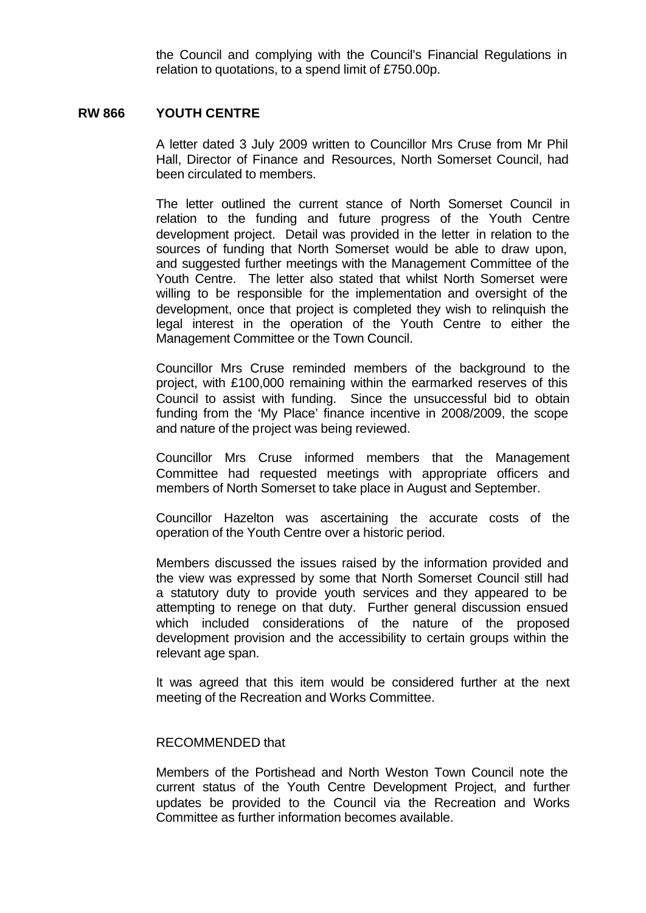the Council and complying with the Council's Financial Regulations in relation to quotations, to a spend limit of £750.00p.

### **RW 866 YOUTH CENTRE**

A letter dated 3 July 2009 written to Councillor Mrs Cruse from Mr Phil Hall, Director of Finance and Resources, North Somerset Council, had been circulated to members.

The letter outlined the current stance of North Somerset Council in relation to the funding and future progress of the Youth Centre development project. Detail was provided in the letter in relation to the sources of funding that North Somerset would be able to draw upon, and suggested further meetings with the Management Committee of the Youth Centre. The letter also stated that whilst North Somerset were willing to be responsible for the implementation and oversight of the development, once that project is completed they wish to relinquish the legal interest in the operation of the Youth Centre to either the Management Committee or the Town Council.

Councillor Mrs Cruse reminded members of the background to the project, with £100,000 remaining within the earmarked reserves of this Council to assist with funding. Since the unsuccessful bid to obtain funding from the 'My Place' finance incentive in 2008/2009, the scope and nature of the project was being reviewed.

Councillor Mrs Cruse informed members that the Management Committee had requested meetings with appropriate officers and members of North Somerset to take place in August and September.

Councillor Hazelton was ascertaining the accurate costs of the operation of the Youth Centre over a historic period.

Members discussed the issues raised by the information provided and the view was expressed by some that North Somerset Council still had a statutory duty to provide youth services and they appeared to be attempting to renege on that duty. Further general discussion ensued which included considerations of the nature of the proposed development provision and the accessibility to certain groups within the relevant age span.

It was agreed that this item would be considered further at the next meeting of the Recreation and Works Committee.

### RECOMMENDED that

Members of the Portishead and North Weston Town Council note the current status of the Youth Centre Development Project, and further updates be provided to the Council via the Recreation and Works Committee as further information becomes available.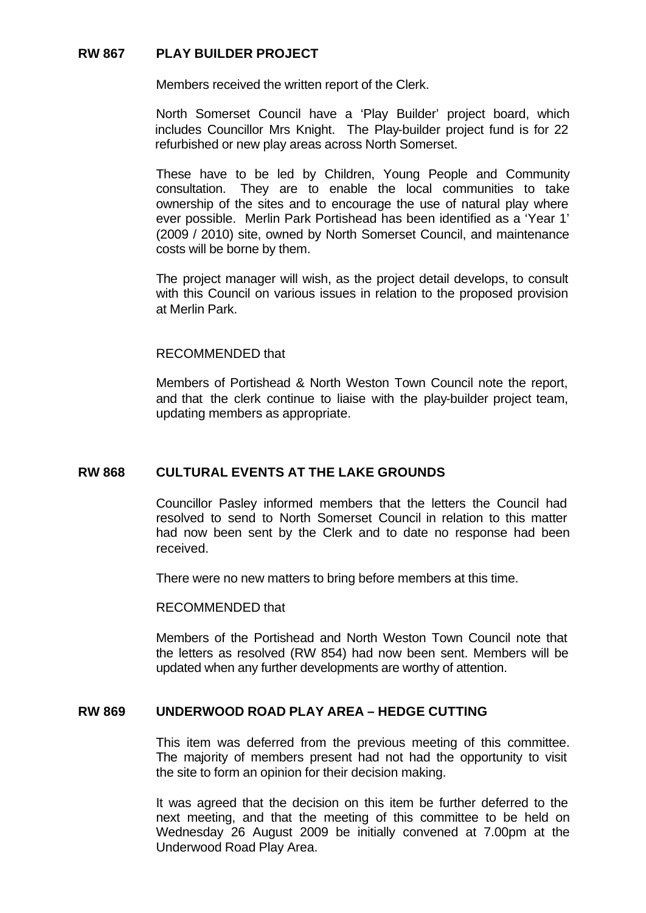# **RW 867 PLAY BUILDER PROJECT**

Members received the written report of the Clerk.

North Somerset Council have a 'Play Builder' project board, which includes Councillor Mrs Knight. The Play-builder project fund is for 22 refurbished or new play areas across North Somerset.

These have to be led by Children, Young People and Community consultation. They are to enable the local communities to take ownership of the sites and to encourage the use of natural play where ever possible. Merlin Park Portishead has been identified as a 'Year 1' (2009 / 2010) site, owned by North Somerset Council, and maintenance costs will be borne by them.

The project manager will wish, as the project detail develops, to consult with this Council on various issues in relation to the proposed provision at Merlin Park.

### RECOMMENDED that

Members of Portishead & North Weston Town Council note the report, and that the clerk continue to liaise with the play-builder project team, updating members as appropriate.

# **RW 868 CULTURAL EVENTS AT THE LAKE GROUNDS**

Councillor Pasley informed members that the letters the Council had resolved to send to North Somerset Council in relation to this matter had now been sent by the Clerk and to date no response had been received.

There were no new matters to bring before members at this time.

#### RECOMMENDED that

Members of the Portishead and North Weston Town Council note that the letters as resolved (RW 854) had now been sent. Members will be updated when any further developments are worthy of attention.

# **RW 869 UNDERWOOD ROAD PLAY AREA – HEDGE CUTTING**

This item was deferred from the previous meeting of this committee. The majority of members present had not had the opportunity to visit the site to form an opinion for their decision making.

It was agreed that the decision on this item be further deferred to the next meeting, and that the meeting of this committee to be held on Wednesday 26 August 2009 be initially convened at 7.00pm at the Underwood Road Play Area.